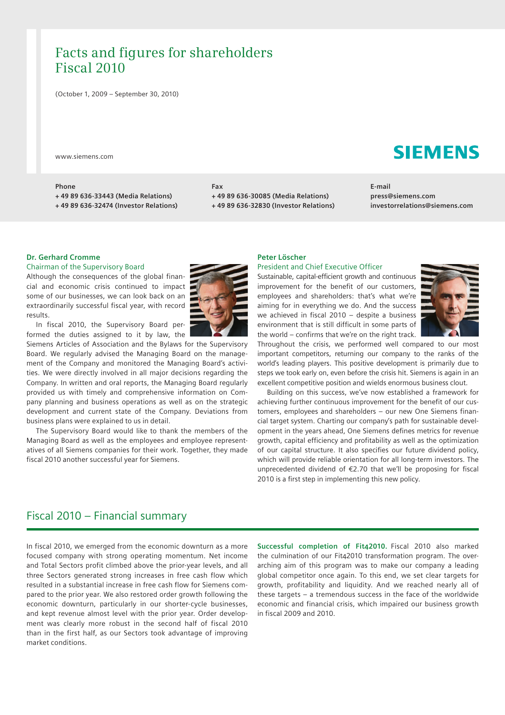# Facts and figures for shareholders Fiscal 2010

( October 1, 2009 – September 30, 2010)

www.siemens.com

## **Phone**

**+ 49 89 636-33443 (Media Relations) + 49 89 636-32474 (Investor Relations)**

## **Fax**

**+ 49 89 636-30085 (Media Relations)**

**+ 49 89 636-32830 (Investor Relations)**

**E-mail press@siemens.com investorrelations@siemens.com**

# **Dr. Gerhard Cromme**

## Chairman of the Supervisory Board

Although the consequences of the global financial and economic crisis continued to impact some of our businesses, we can look back on an extraordinarily successful fiscal year, with record results.

In fiscal 2010, the Supervisory Board performed the duties assigned to it by law, the

Siemens Articles of Association and the Bylaws for the Supervisory Board. We regularly advised the Managing Board on the management of the Company and monitored the Managing Board's activities. We were directly involved in all major decisions regarding the Company. In written and oral reports, the Managing Board regularly provided us with timely and comprehensive information on Company planning and business operations as well as on the strategic development and current state of the Company. Deviations from business plans were explained to us in detail.

The Supervisory Board would like to thank the members of the Managing Board as well as the employees and employee representatives of all Siemens companies for their work. Together, they made fiscal 2010 another successful year for Siemens.

# **Peter Löscher**  President and Chief Executive Officer

Sustainable, capital-efficient growth and continuous improvement for the benefit of our customers, employees and shareholders: that's what we're aiming for in everything we do. And the success we achieved in fiscal 2010 – despite a business environment that is still difficult in some parts of the world – confirms that we're on the right track.



Throughout the crisis, we performed well compared to our most im portant competitors, returning our company to the ranks of the world's leading players. This positive development is primarily due to steps we took early on, even before the crisis hit. Siemens is again in an excellent competitive position and wields enormous business clout.

Building on this success, we've now established a framework for achieving further continuous improvement for the benefit of our customers, employees and shareholders – our new One Siemens financial target system. Charting our company's path for sustainable development in the years ahead, One Siemens defines metrics for revenue growth, capital efficiency and profitability as well as the optimization of our capital structure. It also specifies our future dividend policy, which will provide reliable orientation for all long-term investors. The unprecedented dividend of €2.70 that we'll be proposing for fiscal 2010 is a first step in implementing this new policy.

# Fiscal 2010 – Financial summary

In fiscal 2010, we emerged from the economic downturn as a more focused company with strong operating momentum. Net income and Total Sectors profit climbed above the prior-year levels, and all three Sectors generated strong increases in free cash flow which resulted in a substantial increase in free cash flow for Siemens compared to the prior year. We also restored order growth following the economic downturn, particularly in our shorter-cycle businesses, and kept revenue almost level with the prior year. Order development was clearly more robust in the second half of fiscal 2010 than in the first half, as our Sectors took advantage of improving market conditions.

**Successful completion of Fit42010.** Fiscal 2010 also marked the culmination of our Fit42010 transformation program. The overarching aim of this program was to make our company a leading global competitor once again. To this end, we set clear targets for growth, profitability and liquidity. And we reached nearly all of these targets – a tremendous success in the face of the worldwide economic and financial crisis, which impaired our business growth in fiscal 2009 and 2010.

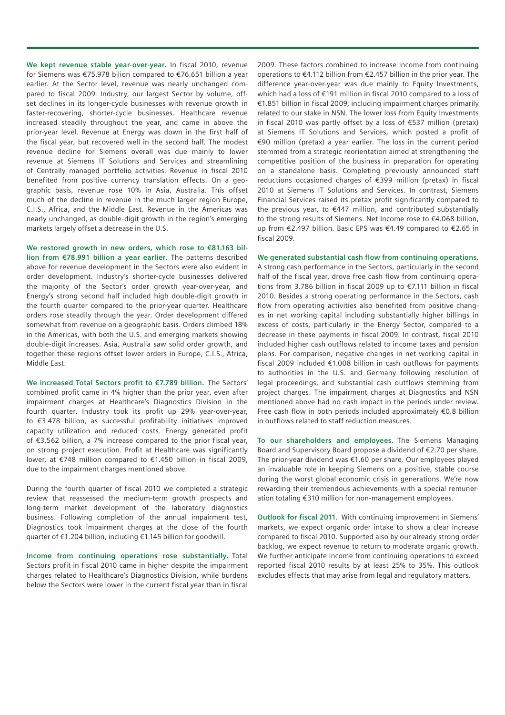**We kept revenue stable year-over-year.** In fiscal 2010, revenue for Siemens was €75.978 bilion compared to €76.651 billion a year earlier. At the Sector level, revenue was nearly unchanged compared to fiscal 2009. Industry, our largest Sector by volume, offset declines in its longer-cycle businesses with revenue growth in faster-recovering, shorter-cycle businesses. Healthcare revenue increased steadily throughout the year, and came in above the prior-year level. Revenue at Energy was down in the first half of the fiscal year, but recovered well in the second half. The modest revenue decline for Siemens overall was due mainly to lower revenue at Siemens IT Solutions and Services and streamlining of Centrally managed portfolio activities. Revenue in fiscal 2010 benefited from positive currency translation effects. On a geographic basis, revenue rose 10% in Asia, Australia. This offset much of the decline in revenue in the much larger region Europe, C.I.S., Africa, and the Middle East. Revenue in the Americas was nearly unchanged, as double-digit growth in the region's emerging markets largely offset a decrease in the U.S.

**We restored growth in new orders, which rose to €81.163 billion from €78.991 billion a year earlier.** The patterns described above for revenue development in the Sectors were also evident in order development. Industry's shorter-cycle businesses delivered the majority of the Sector's order growth year-over-year, and Energy's strong second half included high double-digit growth in the fourth quarter compared to the prior-year quarter. Healthcare orders rose steadily through the year. Order development differed somewhat from revenue on a geographic basis. Orders climbed 18% in the Americas, with both the U.S. and emerging markets showing double-digit increases. Asia, Australia saw solid order growth, and together these regions offset lower orders in Europe, C.I.S., Africa, Middle East.

**We increased Total Sectors profit to €7.789 billion.** The Sectors' combined profit came in 4% higher than the prior year, even after impairment charges at Healthcare's Diagnostics Division in the fourth quarter. Industry took its profit up 29% year-over-year, to €3.478 billion, as successful profitability initiatives improved capacity utilization and reduced costs. Energy generated profit of €3.562 billion, a 7% increase compared to the prior fiscal year, on strong project execution. Profit at Healthcare was significantly lower, at €748 million compared to €1.450 billion in fiscal 2009, due to the impairment charges mentioned above.

During the fourth quarter of fiscal 2010 we completed a strategic review that reassessed the medium-term growth prospects and long-term market development of the laboratory diagnostics business. Following completion of the annual impairment test, Diagnostics took impairment charges at the close of the fourth quarter of €1.204 billion, including €1.145 billion for goodwill.

**Income from continuing operations rose substantially.** Total Sectors profit in fiscal 2010 came in higher despite the impairment charges related to Healthcare's Diagnostics Division, while burdens below the Sectors were lower in the current fiscal year than in fiscal 2009. These factors combined to increase income from continuing operations to €4.112 billion from €2.457 billion in the prior year. The difference year-over-year was due mainly to Equity Investments, which had a loss of €191 million in fiscal 2010 compared to a loss of €1.851 billion in fiscal 2009, including impairment charges primarily related to our stake in NSN. The lower loss from Equity Investments in fiscal 2010 was partly offset by a loss of €537 million (pretax) at Siemens IT Solutions and Services, which posted a profit of €90 million (pretax) a year earlier. The loss in the current period stemmed from a strategic reorientation aimed at strengthening the competitive position of the business in preparation for operating on a standalone basis. Completing previously announced staff reductions occasioned charges of €399 million (pretax) in fiscal 2010 at Siemens IT Solutions and Services. In contrast, Siemens Financial Services raised its pretax profit significantly compared to the previous year, to €447 million, and contributed substantially to the strong results of Siemens. Net Income rose to €4.068 billion, up from €2.497 billion. Basic EPS was €4.49 compared to €2.65 in fiscal 2009.

**We generated substantial cash flow from continuing operations**. A strong cash performance in the Sectors, particularly in the second half of the fiscal year, drove free cash flow from continuing operations from 3.786 billion in fiscal 2009 up to €7.111 billion in fiscal 2010. Besides a strong operating performance in the Sectors, cash flow from operating activities also benefited from positive changes in net working capital including substantially higher billings in excess of costs, particularly in the Energy Sector, compared to a decrease in these payments in fiscal 2009. In contrast, fiscal 2010 included higher cash outflows related to income taxes and pension plans. For comparison, negative changes in net working capital in fiscal 2009 included €1.008 billion in cash outflows for payments to authorities in the U.S. and Germany following resolution of legal proceedings, and substantial cash outflows stemming from project charges. The impairment charges at Diagnostics and NSN mentioned above had no cash impact in the periods under review. Free cash flow in both periods included approximately €0.8 billion in outflows related to staff reduction measures.

**To our shareholders and employees.** The Siemens Managing Board and Supervisory Board propose a dividend of €2.70 per share. The prior-year dividend was €1.60 per share. Our employees played an invaluable role in keeping Siemens on a positive, stable course during the worst global economic crisis in generations. We're now rewarding their tremendous achievements with a special remuneration totaling €310 million for non-management employees.

**Outlook for fiscal 2011.** With continuing improvement in Siemens' markets, we expect organic order intake to show a clear increase compared to fiscal 2010. Supported also by our already strong order backlog, we expect revenue to return to moderate organic growth. We further anticipate income from continuing operations to exceed reported fiscal 2010 results by at least 25% to 35%. This outlook excludes effects that may arise from legal and regulatory matters.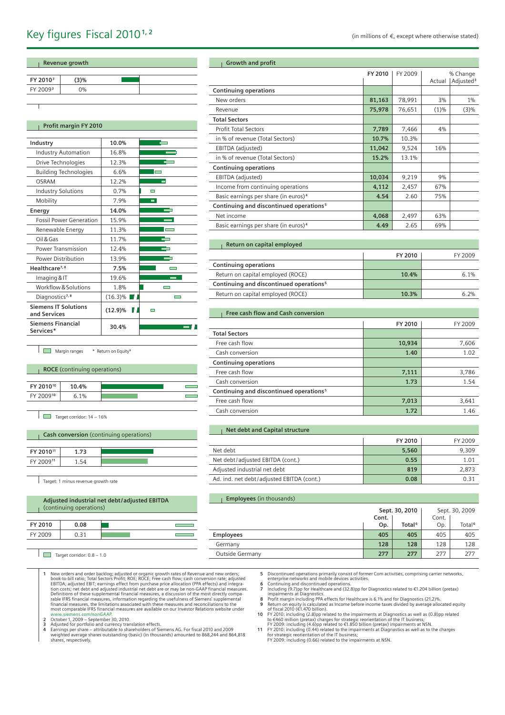| Revenue growth       |      |  |  |
|----------------------|------|--|--|
|                      |      |  |  |
| FY 2010 <sup>3</sup> | (3)% |  |  |
| FY 2009 <sup>3</sup> | 0%   |  |  |
|                      |      |  |  |

# **Profit margin FY 2010**

| Industry                                    | 10.0%      |                          |
|---------------------------------------------|------------|--------------------------|
| <b>Industry Automation</b>                  | 16.8%      |                          |
| Drive Technologies                          | 12.3%      |                          |
| <b>Building Technologies</b>                | 6.6%       | $\blacksquare$           |
| OSRAM                                       | 12.2%      |                          |
| <b>Industry Solutions</b>                   | 0.7%       |                          |
| Mobility                                    | 7.9%       | $\blacksquare$           |
| Energy                                      | 14.0%      |                          |
| <b>Fossil Power Generation</b>              | 15.9%      |                          |
| Renewable Energy                            | 11.3%      |                          |
| Oil & Gas                                   | 11.7%      |                          |
| <b>Power Transmission</b>                   | 12.4%      |                          |
| <b>Power Distribution</b>                   | 13.9%      |                          |
| Healthcare <sup>7, 8</sup>                  | 7.5%       |                          |
| Imaging & IT                                | 19.6%      |                          |
| Workflow & Solutions                        | 1.8%       |                          |
| Diagnostics <sup>7,8</sup>                  | $(16.3)\%$ | $\overline{\phantom{0}}$ |
| <b>Siemens IT Solutions</b><br>and Services | $(12.9)\%$ |                          |
| <b>Siemens Financial</b><br>Services*       | 30.4%      |                          |

| <b>Growth and profit</b>                            |         |         |         |                       |
|-----------------------------------------------------|---------|---------|---------|-----------------------|
|                                                     | FY 2010 | FY 2009 |         | % Change              |
|                                                     |         |         | Actual  | Adjusted <sup>3</sup> |
| <b>Continuing operations</b>                        |         |         |         |                       |
| New orders                                          | 81,163  | 78,991  | 3%      | $1\%$                 |
| Revenue                                             | 75,978  | 76,651  | $(1)\%$ | $(3)\%$               |
| <b>Total Sectors</b>                                |         |         |         |                       |
| <b>Profit Total Sectors</b>                         | 7,789   | 7,466   | 4%      |                       |
| in % of revenue (Total Sectors)                     | 10.7%   | 10.3%   |         |                       |
| EBITDA (adjusted)                                   | 11,042  | 9,524   | 16%     |                       |
| in % of revenue (Total Sectors)                     | 15.2%   | 13.1%   |         |                       |
| <b>Continuing operations</b>                        |         |         |         |                       |
| EBITDA (adjusted)                                   | 10,034  | 9,219   | 9%      |                       |
| Income from continuing operations                   | 4,112   | 2,457   | 67%     |                       |
| Basic earnings per share (in euros) <sup>4</sup>    | 4.54    | 2.60    | 75%     |                       |
| Continuing and discontinued operations <sup>5</sup> |         |         |         |                       |
| Net income                                          | 4,068   | 2,497   | 63%     |                       |
| Basic earnings per share (in euros) <sup>4</sup>    | 4.49    | 2.65    | 69%     |                       |

| Return on capital employed                          |         |         |
|-----------------------------------------------------|---------|---------|
|                                                     | FY 2010 | FY 2009 |
| <b>Continuing operations</b>                        |         |         |
| Return on capital employed (ROCE)                   | 10.4%   | 6.1%    |
| Continuing and discontinued operations <sup>5</sup> |         |         |
| Return on capital employed (ROCE)                   | 10.3%   | 6.2%    |

# **Free cash flow and Cash conversion**

 $\overline{a}$  $\overline{a}$  $\overline{a}$ 

Ë and a

 $\blacksquare$ 5

 $\overline{\phantom{a}}$ ٦

|                                                     | FY 2010 | FY 2009 |
|-----------------------------------------------------|---------|---------|
| <b>Total Sectors</b>                                |         |         |
| Free cash flow                                      | 10,934  | 7,606   |
| Cash conversion                                     | 1.40    | 1.02    |
| <b>Continuing operations</b>                        |         |         |
| Free cash flow                                      | 7,111   | 3,786   |
| Cash conversion                                     | 1.73    | 1.54    |
| Continuing and discontinued operations <sup>5</sup> |         |         |
| Free cash flow                                      | 7,013   | 3,641   |
| Cash conversion                                     | 1.72    | 1.46    |

### **Net debt and Capital structure**

|                                           | FY 2010 | FY 2009 |
|-------------------------------------------|---------|---------|
| Net debt                                  | 5,560   | 9.309   |
| Net debt/adjusted EBITDA (cont.)          | 0.55    | 1.01    |
| Adjusted industrial net debt              | 819     | 2,873   |
| Ad. ind. net debt/adjusted EBITDA (cont.) | 0.08    | በ 31    |

## **Employees** (in thousands)

|                  |       | Sept. 30, 2010     |       | Sept. 30, 2009     |
|------------------|-------|--------------------|-------|--------------------|
|                  | Cont. |                    | Cont. |                    |
|                  | Op.   | Total <sup>6</sup> | Op.   | Total <sup>6</sup> |
| <b>Employees</b> | 405   | 405                | 405   | 405                |
| Germany          | 128   | 128                | 128   | 128                |
| Outside Germany  | 277   | 277                | 277   | 277                |

1 New orders and order backlog; adjusted or organic growth rates of Revenue and new orders;<br>book-to-bill ratio; Total Sectors Profit; ROE; ROCE; Free cash flow; cash conversion rate; adjusted<br>EBITDA; adjusted EBIT; earning

**Cash conversion** (continuing operations)

**Adjusted industrial net debt / adjusted EBITDA** 

**FY 2010<sup>11</sup> 1.73** FY 2009**<sup>11</sup>** 1.54

**FY 2010<sup>10</sup> 10.4%** FY 2009**<sup>10</sup>** 6.1%

**FY 2010 0.08** FY 2009 0.31

Target: 1 minus revenue growth rate

**ROCE** (continuing operations)

Margin ranges \* Return on Equity<sup>9</sup>

 $\Box$  Target corridor: 14 – 16%

(continuing operations)

Target corridor: 0.8 - 1.0

5 Discontinued operations primarily consist of former Com activities, comprising carrier networks,<br>enterprise networks and mobile devices activities.<br>6 Continuing and discontinued operations.<br>7 Including (9.7)pp for Healt

- 
- 

impairments at Diagnostics.<br> **8** Profit margin including PPA effects for Healthcare is 6.1% and for Diagnostics (21.2)%.<br> **9** Return on equity is calculated as Income before income taxes divided by average allocated equit